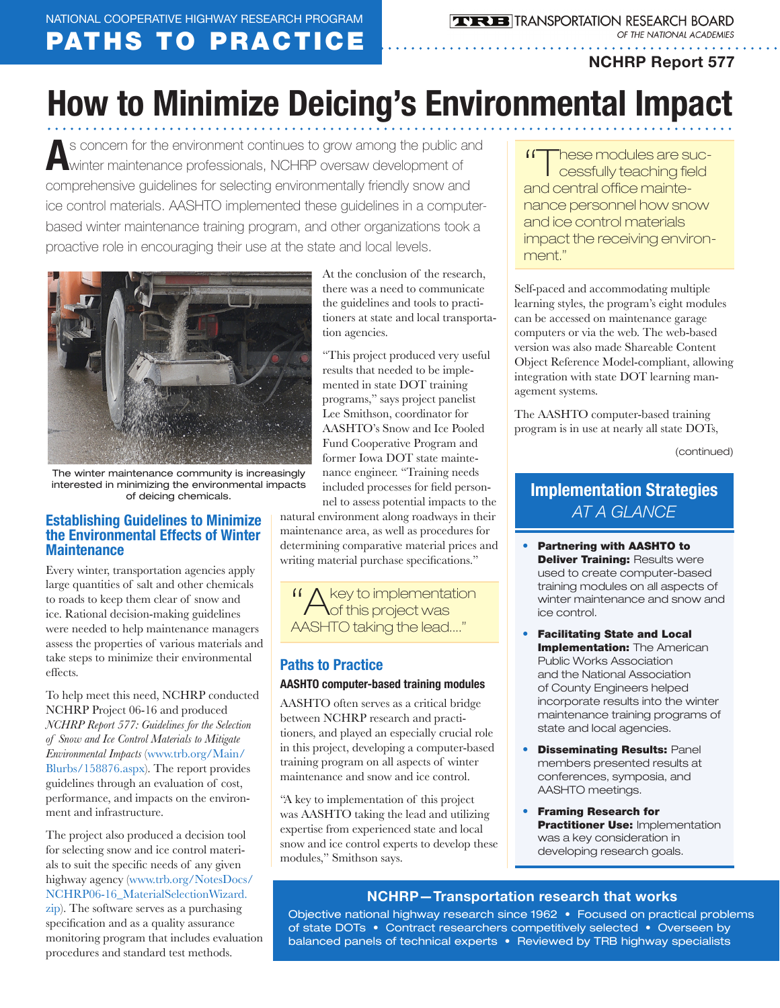# NATIONAL COOPERATIVE HIGHWAY RESEARCH PROGRAM PATHS TO PRACTICE

**TRB** TRANSPORTATION RESEARCH BOARD OF THE NATIONAL ACADEMIES

## NCHRP Report 577

# How to Minimize Deicing's Environmental Impact

As concern for the environment continues to grow among the public and<br>winter maintenance professionals, NCHRP oversaw development of comprehensive guidelines for selecting environmentally friendly snow and ice control materials. AASHTO implemented these guidelines in a computerbased winter maintenance training program, and other organizations took a proactive role in encouraging their use at the state and local levels.



The winter maintenance community is increasingly interested in minimizing the environmental impacts of deicing chemicals.

### Establishing Guidelines to Minimize the Environmental Effects of Winter **Maintenance**

Every winter, transportation agencies apply large quantities of salt and other chemicals to roads to keep them clear of snow and ice. Rational decision-making guidelines were needed to help maintenance managers assess the properties of various materials and take steps to minimize their environmental effects.

To help meet this need, NCHRP conducted NCHRP Project 06-16 and produced *NCHRP Report 577: Guidelines for the Selection of Snow and Ice Control Materials to Mitigate Environmental Impacts* ([www.trb.org/Main/](http://www.trb.org/Main/Blurbs/158876.aspx) [Blurbs/158876.aspx\)](http://www.trb.org/Main/Blurbs/158876.aspx). The report provides guidelines through an evaluation of cost, performance, and impacts on the environment and infrastructure.

The project also produced a decision tool for selecting snow and ice control materials to suit the specific needs of any given highway agency ([www.trb.org/NotesDocs/](http://www.trb.org/NotesDocs/NCHRP06-16_MaterialSelectionWizard.zip) [NCHRP06-16\\_MaterialSelectionWizard.](http://www.trb.org/NotesDocs/NCHRP06-16_MaterialSelectionWizard.zip) [zip](http://www.trb.org/NotesDocs/NCHRP06-16_MaterialSelectionWizard.zip)). The software serves as a purchasing specification and as a quality assurance monitoring program that includes evaluation procedures and standard test methods.

At the conclusion of the research, there was a need to communicate the guidelines and tools to practitioners at state and local transportation agencies.

"This project produced very useful results that needed to be implemented in state DOT training programs," says project panelist Lee Smithson, coordinator for AASHTO's Snow and Ice Pooled Fund Cooperative Program and former Iowa DOT state maintenance engineer. "Training needs included processes for field person-

nel to assess potential impacts to the natural environment along roadways in their maintenance area, as well as procedures for determining comparative material prices and writing material purchase specifications."

"A key to implementation of this project was AASHTO taking the lead...."

## Paths to Practice AASHTO computer-based training modules

AASHTO often serves as a critical bridge between NCHRP research and practitioners, and played an especially crucial role in this project, developing a computer-based training program on all aspects of winter maintenance and snow and ice control.

"A key to implementation of this project was AASHTO taking the lead and utilizing expertise from experienced state and local snow and ice control experts to develop these modules," Smithson says.

"These modules are suc-cessfully teaching field and central office maintenance personnel how snow and ice control materials impact the receiving environment."

Self-paced and accommodating multiple learning styles, the program's eight modules can be accessed on maintenance garage computers or via the web. The web-based version was also made Shareable Content Object Reference Model-compliant, allowing integration with state DOT learning management systems.

The AASHTO computer-based training program is in use at nearly all state DOTs,

(continued)

# AT A GLANCE Implementation Strategies

- Partnering with AASHTO to Deliver Training: Results were used to create computer-based training modules on all aspects of winter maintenance and snow and ice control.
- Facilitating State and Local **Implementation:** The American Public Works Association and the National Association of County Engineers helped incorporate results into the winter maintenance training programs of state and local agencies.
- **Disseminating Results: Panel** members presented results at conferences, symposia, and AASHTO meetings.
- Framing Research for Practitioner Use: Implementation was a key consideration in developing research goals.

## NCHRP—Transportation research that works

Objective national highway research since 1962 • Focused on practical problems of state DOTs • Contract researchers competitively selected • Overseen by balanced panels of technical experts • Reviewed by TRB highway specialists